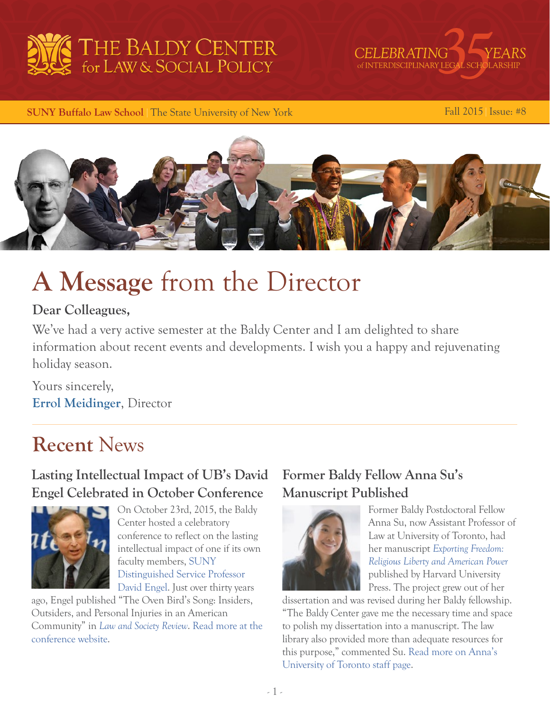



 **SUNY Buffalo Law School | The State University of New York Fall 2015 | Issue: #8** 



# **A Message** from the Director

## **Dear Colleagues,**

We've had a very active semester at the Baldy Center and I am delighted to share information about recent events and developments. I wish you a happy and rejuvenating holiday season.

Yours sincerely, **[Errol Meidinger](http://web2.law.buffalo.edu/faculty/meidinger/index.htm)**, Director

## **Recent** News

## **Lasting Intellectual Impact of UB's David Engel Celebrated in October Conference**



On October 23rd, 2015, the Baldy Center hosted a celebratory conference to reflect on the lasting intellectual impact of one if its own faculty members, [SUNY](http://www.law.buffalo.edu/faculty/facultyDirectory/EngelDavidM.html)  [Distinguished Service Professor](http://www.law.buffalo.edu/faculty/facultyDirectory/EngelDavidM.html)  [David Engel](http://www.law.buffalo.edu/faculty/facultyDirectory/EngelDavidM.html). Just over thirty years

ago, Engel published "The Oven Bird's Song: Insiders, Outsiders, and Personal Injuries in an American Community" in *[Law and Society Review](http://onlinelibrary.wiley.com/journal/10.1111/(ISSN)1540-5893)*. [Read more at the](http://ovenbirdconference.org/)  [conference website.](http://ovenbirdconference.org/)

## **Former Baldy Fellow Anna Su's Manuscript Published**



Former Baldy Postdoctoral Fellow Anna Su, now Assistant Professor of Law at University of Toronto, had her manuscript *[Exporting Freedom:](http://www.hup.harvard.edu/catalog.php?isbn=9780674286023)  [Religious Liberty and American Power](http://www.hup.harvard.edu/catalog.php?isbn=9780674286023)* published by Harvard University Press. The project grew out of her

dissertation and was revised during her Baldy fellowship. "The Baldy Center gave me the necessary time and space to polish my dissertation into a manuscript. The law library also provided more than adequate resources for this purpose," commented Su. [Read more on Anna's](http://www.law.utoronto.ca/faculty-staff/full-time-faculty/anna-su)  [University of Toronto staff page](http://www.law.utoronto.ca/faculty-staff/full-time-faculty/anna-su).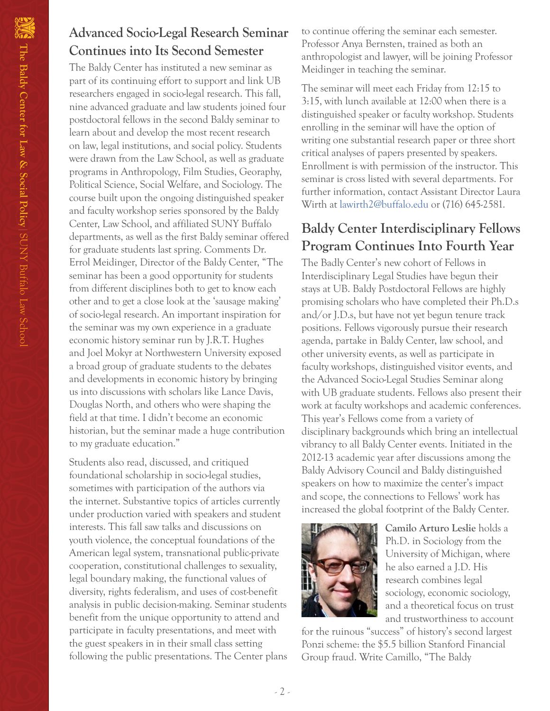## **Advanced Socio-Legal Research Seminar Continues into Its Second Semester**

The Baldy Center has instituted a new seminar as part of its continuing effort to support and link UB researchers engaged in socio-legal research. This fall, nine advanced graduate and law students joined four postdoctoral fellows in the second Baldy seminar to learn about and develop the most recent research on law, legal institutions, and social policy. Students were drawn from the Law School, as well as graduate programs in Anthropology, Film Studies, Georaphy, Political Science, Social Welfare, and Sociology. The course built upon the ongoing distinguished speaker and faculty workshop series sponsored by the Baldy Center, Law School, and affiliated SUNY Buffalo departments, as well as the first Baldy seminar offered for graduate students last spring. Comments Dr. Errol Meidinger, Director of the Baldy Center, "The seminar has been a good opportunity for students from different disciplines both to get to know each other and to get a close look at the 'sausage making' of socio-legal research. An important inspiration for the seminar was my own experience in a graduate economic history seminar run by J.R.T. Hughes and Joel Mokyr at Northwestern University exposed a broad group of graduate students to the debates and developments in economic history by bringing us into discussions with scholars like Lance Davis, Douglas North, and others who were shaping the field at that time. I didn't become an economic historian, but the seminar made a huge contribution to my graduate education."

Students also read, discussed, and critiqued foundational scholarship in socio-legal studies, sometimes with participation of the authors via the internet. Substantive topics of articles currently under production varied with speakers and student interests. This fall saw talks and discussions on youth violence, the conceptual foundations of the American legal system, transnational public-private cooperation, constitutional challenges to sexuality, legal boundary making, the functional values of diversity, rights federalism, and uses of cost-benefit analysis in public decision-making. Seminar students benefit from the unique opportunity to attend and participate in faculty presentations, and meet with the guest speakers in in their small class setting following the public presentations. The Center plans to continue offering the seminar each semester. Professor Anya Bernsten, trained as both an anthropologist and lawyer, will be joining Professor Meidinger in teaching the seminar.

The seminar will meet each Friday from 12:15 to 3:15, with lunch available at 12:00 when there is a distinguished speaker or faculty workshop. Students enrolling in the seminar will have the option of writing one substantial research paper or three short critical analyses of papers presented by speakers. Enrollment is with permission of the instructor. This seminar is cross listed with several departments. For further information, contact Assistant Director Laura Wirth at [lawirth2@buffalo.edu](mailto:lawirth2%40buffalo.edu?subject=) or (716) 645-2581.

## **Baldy Center Interdisciplinary Fellows Program Continues Into Fourth Year**

The Badly Center's new cohort of Fellows in Interdisciplinary Legal Studies have begun their stays at UB. Baldy Postdoctoral Fellows are highly promising scholars who have completed their Ph.D.s and/or J.D.s, but have not yet begun tenure track positions. Fellows vigorously pursue their research agenda, partake in Baldy Center, law school, and other university events, as well as participate in faculty workshops, distinguished visitor events, and the Advanced Socio-Legal Studies Seminar along with UB graduate students. Fellows also present their work at faculty workshops and academic conferences. This year's Fellows come from a variety of disciplinary backgrounds which bring an intellectual vibrancy to all Baldy Center events. Initiated in the 2012-13 academic year after discussions among the Baldy Advisory Council and Baldy distinguished speakers on how to maximize the center's impact and scope, the connections to Fellows' work has increased the global footprint of the Baldy Center.



**Camilo Arturo Leslie** holds a Ph.D. in Sociology from the University of Michigan, where he also earned a J.D. His research combines legal sociology, economic sociology, and a theoretical focus on trust and trustworthiness to account

for the ruinous "success" of history's second largest Ponzi scheme: the \$5.5 billion Stanford Financial Group fraud. Write Camillo, "The Baldy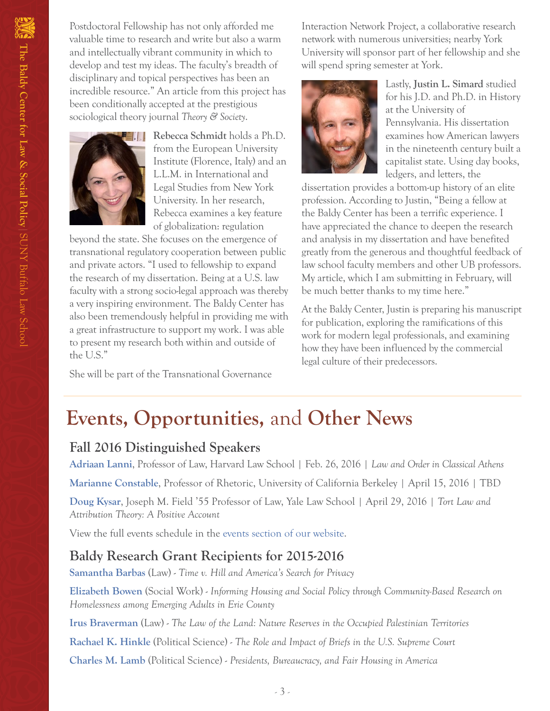Postdoctoral Fellowship has not only afforded me valuable time to research and write but also a warm and intellectually vibrant community in which to develop and test my ideas. The faculty's breadth of disciplinary and topical perspectives has been an incredible resource." An article from this project has been conditionally accepted at the prestigious sociological theory journal *Theory & Society*.



**Rebecca Schmidt** holds a Ph.D. from the European University Institute (Florence, Italy) and an L.L.M. in International and Legal Studies from New York University. In her research, Rebecca examines a key feature of globalization: regulation

beyond the state. She focuses on the emergence of transnational regulatory cooperation between public and private actors. "I used to fellowship to expand the research of my dissertation. Being at a U.S. law faculty with a strong socio-legal approach was thereby a very inspiring environment. The Baldy Center has also been tremendously helpful in providing me with a great infrastructure to support my work. I was able to present my research both within and outside of the U.S."

She will be part of the Transnational Governance

Interaction Network Project, a collaborative research network with numerous universities; nearby York University will sponsor part of her fellowship and she will spend spring semester at York.



Lastly, **Justin L. Simard** studied for his J.D. and Ph.D. in History at the University of Pennsylvania. His dissertation examines how American lawyers in the nineteenth century built a capitalist state. Using day books, ledgers, and letters, the

dissertation provides a bottom-up history of an elite profession. According to Justin, "Being a fellow at the Baldy Center has been a terrific experience. I have appreciated the chance to deepen the research and analysis in my dissertation and have benefited greatly from the generous and thoughtful feedback of law school faculty members and other UB professors. My article, which I am submitting in February, will be much better thanks to my time here."

At the Baldy Center, Justin is preparing his manuscript for publication, exploring the ramifications of this work for modern legal professionals, and examining how they have been influenced by the commercial legal culture of their predecessors.

## **Events, Opportunities,** and **Other News**

### **Fall 2016 Distinguished Speakers**

**[Adriaan Lanni](http://hls.harvard.edu/faculty/directory/10503/Lanni)**, Professor of Law, Harvard Law School | Feb. 26, 2016 | *Law and Order in Classical Athens*

**[Marianne Constable](http://rhetoric.berkeley.edu/faculty-profile/marianne-constable-1)**, Professor of Rhetoric, University of California Berkeley | April 15, 2016 | TBD

**[Doug Kysar](https://www.law.yale.edu/douglas-kysar)**, Joseph M. Field '55 Professor of Law, Yale Law School | April 29, 2016 | *Tort Law and Attribution Theory: A Positive Account*

View the full events schedule in the [events section of our website](http://baldycenter.info/cgi-bin/navigation.cgi?page_id=77&parent_id=3).

## **Baldy Research Grant Recipients for 2015-2016**

**[Samantha Barbas](http://www.law.buffalo.edu/faculty/facultyDirectory/barbasSamantha.html)** (Law) - *Time v. Hill and America's Search for Privacy*

**[Elizabeth Bowen](https://socialwork.buffalo.edu/about/our-students-and-faculty-and-alumni/our-faculty.host.html/content/shared/socialwork/home/meet-our-faculty/elizabeth-bowen.detail.html)** (Social Work) - *Informing Housing and Social Policy through Community-Based Research on Homelessness among Emerging Adults in Erie County*

**[Irus Braverman](http://www.law.buffalo.edu/faculty/facultyDirectory/BravermanIrus.html)** (Law) - *The Law of the Land: Nature Reserves in the Occupied Palestinian Territories*

**[Rachael K. Hinkle](http://polsci.buffalo.edu/facultystaff/hinkle/)** (Political Science) - *The Role and Impact of Briefs in the U.S. Supreme Court*

**[Charles M. Lamb](http://polsci.buffalo.edu/facultystaff/lamb/)** (Political Science) - *Presidents, Bureaucracy, and Fair Housing in America*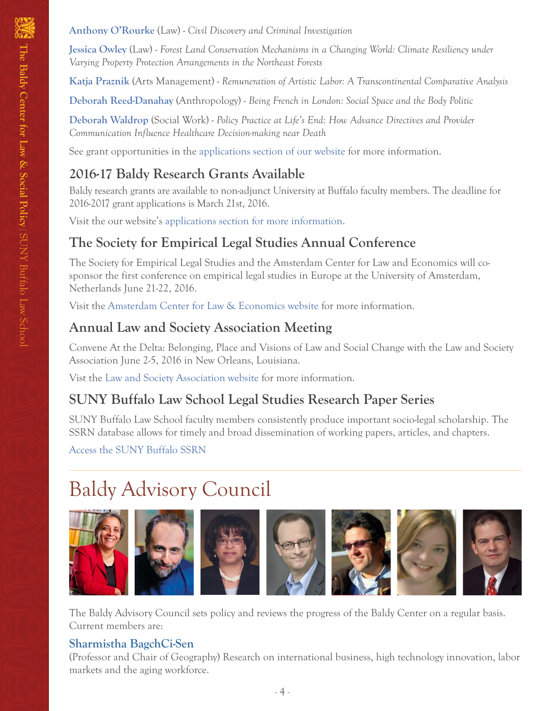**[Jessica Owley](http://www.law.buffalo.edu/faculty/facultyDirectory/OwleyJessica.html)** (Law) - *Forest Land Conservation Mechanisms in a Changing World: Climate Resiliency under Varying Property Protection Arrangements in the Northeast Forests*

**[Katja Praznik](http://www.buffalo.edu/cas/arts_management/who-we-are/praznik.html)** (Arts Management) - *Remuneration of Artistic Labor: A Transcontinental Comparative Analysis*

**[Deborah Reed-Danahay](https://www.buffalo.edu/cas/anthropology/faculty/faculty_directory/deborah-reed-danahay.html)** (Anthropology) - *Being French in London: Social Space and the Body Politic*

**[Deborah Waldrop](https://socialwork.buffalo.edu/faculty-research/full-time-faculty/dwaldrop.html)** (Social Work) - *Policy Practice at Life's End: How Advance Directives and Provider Communication Influence Healthcare Decision-making near Death*

See grant opportunities in the [applications section of our website](http://baldycenter.info/cgi-bin/applications/research_grant1617/application.cgi?page_id=116&parent_id=113) for more information.

## **2016-17 Baldy Research Grants Available**

Baldy research grants are available to non-adjunct University at Buffalo faculty members. The deadline for 2016-2017 grant applications is March 21st, 2016.

Visit the our website's [applications section for more info](http://baldycenter.info/cgi-bin/applications/research_grant1617/application.cgi?page_id=116&parent_id=113)rmation.

## **The Society for Empirical Legal Studies Annual Conference**

The Society for Empirical Legal Studies and the Amsterdam Center for Law and Economics will cosponsor the first conference on empirical legal studies in Europe at the University of Amsterdam, Netherlands June 21-22, 2016.

Visit the [Amsterdam Center for Law & Economics website](http://celse2016.acle.nl/) for more information.

## **Annual Law and Society Association Meeting**

Convene At the Delta: Belonging, Place and Visions of Law and Social Change with the Law and Society Association June 2-5, 2016 in New Orleans, Louisiana.

Vist the [Law and Society Association website](http://www.lawandsociety.org/NewOrleans2016/neworleans2016.html) for more information.

## **SUNY Buffalo Law School Legal Studies Research Paper Series**

SUNY Buffalo Law School faculty members consistently produce important socio-legal scholarship. The SSRN database allows for timely and broad dissemination of working papers, articles, and chapters.

[Access the SUNY Buffalo SSRN](http://papers.ssrn.com/sol3/JELJOUR_Results.cfm?form_name=journalbrowse&journal_id=818584)

# Baldy Advisory Council



The Baldy Advisory Council sets policy and reviews the progress of the Baldy Center on a regular basis. Current members are:

## **[Sharmistha BagchCi-Sen](http://www.acsu.buffalo.edu/~geosbs/)**

(Professor and Chair of Geography) Research on international business, high technology innovation, labor markets and the aging workforce.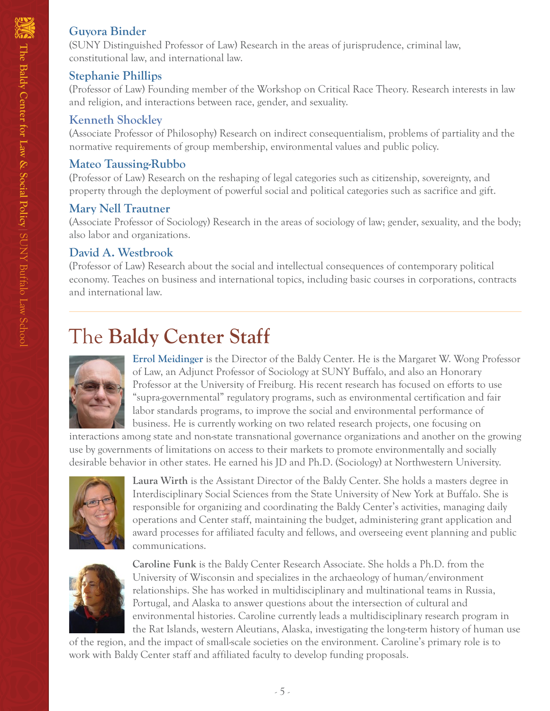#### **[Guyora Binder](http://www.law.buffalo.edu/faculty/facultyDirectory/BinderGuyora.html)**

(SUNY Distinguished Professor of Law) Research in the areas of jurisprudence, criminal law, constitutional law, and international law.

#### **[Stephanie Phillips](http://www.law.buffalo.edu/faculty/facultyDirectory/PhillipsStephanie.html)**

(Professor of Law) Founding member of the Workshop on Critical Race Theory. Research interests in law and religion, and interactions between race, gender, and sexuality.

#### **[Kenneth Shockley](http://www.buffalo.edu/cas/philosophy/faculty/faculty_directory/shockley.html)**

(Associate Professor of Philosophy) Research on indirect consequentialism, problems of partiality and the normative requirements of group membership, environmental values and public policy.

#### **[Mateo Taussing-Rubbo](http://www.law.buffalo.edu/faculty/facultyDirectory/TaussigRubboMateo.html)**

(Professor of Law) Research on the reshaping of legal categories such as citizenship, sovereignty, and property through the deployment of powerful social and political categories such as sacrifice and gift.

#### **[Mary Nell Trautner](http://www.acsu.buffalo.edu/~trautner/)**

(Associate Professor of Sociology) Research in the areas of sociology of law; gender, sexuality, and the body; also labor and organizations.

#### **[David A. Westbrook](http://www.law.buffalo.edu/faculty/facultyDirectory/WestbrookDavid.html)**

(Professor of Law) Research about the social and intellectual consequences of contemporary political economy. Teaches on business and international topics, including basic courses in corporations, contracts and international law.

# The **Baldy Center Staff**



**[Errol Meidinger](http://web2.law.buffalo.edu/faculty/meidinger/index.htm)** is the Director of the Baldy Center. He is the Margaret W. Wong Professor of Law, an Adjunct Professor of Sociology at SUNY Buffalo, and also an Honorary Professor at the University of Freiburg. His recent research has focused on efforts to use "supra-governmental" regulatory programs, such as environmental certification and fair labor standards programs, to improve the social and environmental performance of business. He is currently working on two related research projects, one focusing on

interactions among state and non-state transnational governance organizations and another on the growing use by governments of limitations on access to their markets to promote environmentally and socially desirable behavior in other states. He earned his JD and Ph.D. (Sociology) at Northwestern University.



**Laura Wirth** is the Assistant Director of the Baldy Center. She holds a masters degree in Interdisciplinary Social Sciences from the State University of New York at Buffalo. She is responsible for organizing and coordinating the Baldy Center's activities, managing daily operations and Center staff, maintaining the budget, administering grant application and award processes for affiliated faculty and fellows, and overseeing event planning and public communications.



**Caroline Funk** is the Baldy Center Research Associate. She holds a Ph.D. from the University of Wisconsin and specializes in the archaeology of human/environment relationships. She has worked in multidisciplinary and multinational teams in Russia, Portugal, and Alaska to answer questions about the intersection of cultural and environmental histories. Caroline currently leads a multidisciplinary research program in the Rat Islands, western Aleutians, Alaska, investigating the long-term history of human use

of the region, and the impact of small-scale societies on the environment. Caroline's primary role is to work with Baldy Center staff and affiliated faculty to develop funding proposals.